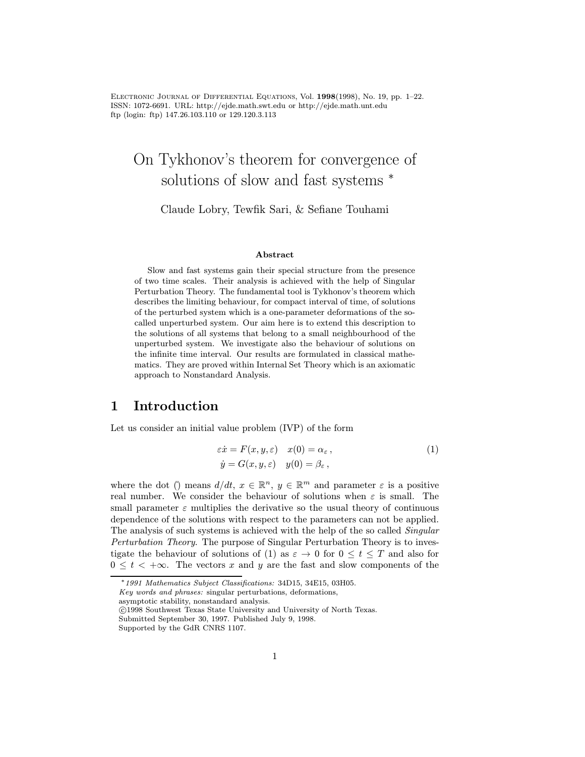Electronic Journal of Differential Equations, Vol. 1998(1998), No. 19, pp. 1–22. ISSN: 1072-6691. URL: http://ejde.math.swt.edu or http://ejde.math.unt.edu ftp (login: ftp) 147.26.103.110 or 129.120.3.113

# On Tykhonov's theorem for convergence of solutions of slow and fast systems  $*$

Claude Lobry, Tewfik Sari, & Sefiane Touhami

#### Abstract

Slow and fast systems gain their special structure from the presence of two time scales. Their analysis is achieved with the help of Singular Perturbation Theory. The fundamental tool is Tykhonov's theorem which describes the limiting behaviour, for compact interval of time, of solutions of the perturbed system which is a one-parameter deformations of the socalled unperturbed system. Our aim here is to extend this description to the solutions of all systems that belong to a small neighbourhood of the unperturbed system. We investigate also the behaviour of solutions on the infinite time interval. Our results are formulated in classical mathematics. They are proved within Internal Set Theory which is an axiomatic approach to Nonstandard Analysis.

# 1 Introduction

Let us consider an initial value problem (IVP) of the form

$$
\begin{aligned} \varepsilon \dot{x} &= F(x, y, \varepsilon) & x(0) &= \alpha_{\varepsilon} \,, \\ \dot{y} &= G(x, y, \varepsilon) & y(0) &= \beta_{\varepsilon} \,, \end{aligned} \tag{1}
$$

where the dot ( $\hat{y}$ ) means  $d/dt, x \in \mathbb{R}^n$ ,  $y \in \mathbb{R}^m$  and parameter  $\varepsilon$  is a positive real number. We consider the behaviour of solutions when  $\varepsilon$  is small. The small parameter  $\varepsilon$  multiplies the derivative so the usual theory of continuous dependence of the solutions with respect to the parameters can not be applied. The analysis of such systems is achieved with the help of the so called *Singular* Perturbation Theory. The purpose of Singular Perturbation Theory is to investigate the behaviour of solutions of (1) as  $\varepsilon \to 0$  for  $0 \le t \le T$  and also for  $0 \leq t < +\infty$ . The vectors x and y are the fast and slow components of the

asymptotic stability, nonstandard analysis.

c 1998 Southwest Texas State University and University of North Texas.

<sup>∗</sup>1991 Mathematics Subject Classifications: 34D15, 34E15, 03H05.

Key words and phrases: singular perturbations, deformations,

Submitted September 30, 1997. Published July 9, 1998.

Supported by the GdR CNRS 1107.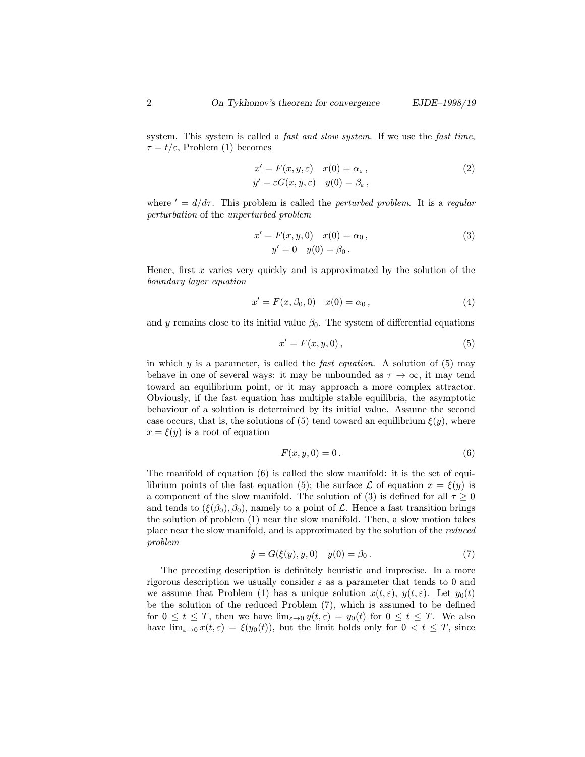system. This system is called a *fast and slow system*. If we use the *fast time*,  $\tau = t/\varepsilon$ , Problem (1) becomes

$$
x' = F(x, y, \varepsilon) \quad x(0) = \alpha_{\varepsilon} ,
$$
  
\n
$$
y' = \varepsilon G(x, y, \varepsilon) \quad y(0) = \beta_{\varepsilon} ,
$$
\n(2)

where  $d' = d/d\tau$ . This problem is called the *perturbed problem*. It is a regular perturbation of the unperturbed problem

$$
x' = F(x, y, 0) \quad x(0) = \alpha_0,
$$
  

$$
y' = 0 \quad y(0) = \beta_0.
$$
 (3)

Hence, first  $x$  varies very quickly and is approximated by the solution of the boundary layer equation

$$
x' = F(x, \beta_0, 0) \quad x(0) = \alpha_0 \,, \tag{4}
$$

and y remains close to its initial value  $\beta_0$ . The system of differential equations

$$
x' = F(x, y, 0),\tag{5}
$$

in which  $y$  is a parameter, is called the *fast equation*. A solution of  $(5)$  may behave in one of several ways: it may be unbounded as  $\tau \to \infty$ , it may tend toward an equilibrium point, or it may approach a more complex attractor. Obviously, if the fast equation has multiple stable equilibria, the asymptotic behaviour of a solution is determined by its initial value. Assume the second case occurs, that is, the solutions of (5) tend toward an equilibrium  $\xi(y)$ , where  $x = \xi(y)$  is a root of equation

$$
F(x, y, 0) = 0.
$$
\n<sup>(6)</sup>

The manifold of equation (6) is called the slow manifold: it is the set of equilibrium points of the fast equation (5); the surface  $\mathcal L$  of equation  $x = \xi(y)$  is a component of the slow manifold. The solution of (3) is defined for all  $\tau \geq 0$ and tends to  $(\xi(\beta_0), \beta_0)$ , namely to a point of  $\mathcal L$ . Hence a fast transition brings the solution of problem (1) near the slow manifold. Then, a slow motion takes place near the slow manifold, and is approximated by the solution of the reduced problem

$$
\dot{y} = G(\xi(y), y, 0) \quad y(0) = \beta_0 \,. \tag{7}
$$

The preceding description is definitely heuristic and imprecise. In a more rigorous description we usually consider  $\varepsilon$  as a parameter that tends to 0 and we assume that Problem (1) has a unique solution  $x(t, \varepsilon)$ ,  $y(t, \varepsilon)$ . Let  $y_0(t)$ be the solution of the reduced Problem (7), which is assumed to be defined for  $0 \le t \le T$ , then we have  $\lim_{\varepsilon \to 0} y(t,\varepsilon) = y_0(t)$  for  $0 \le t \le T$ . We also have  $\lim_{\varepsilon\to 0} x(t,\varepsilon) = \xi(y_0(t))$ , but the limit holds only for  $0 < t \leq T$ , since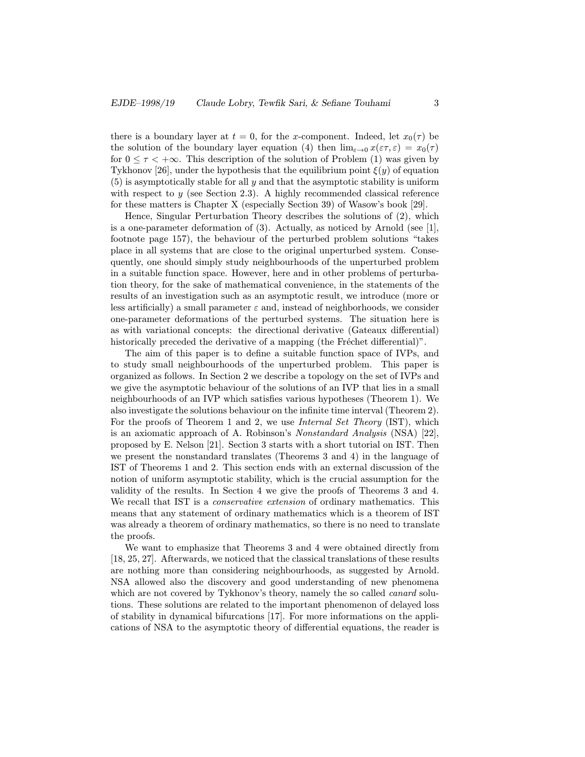there is a boundary layer at  $t = 0$ , for the x-component. Indeed, let  $x_0(\tau)$  be the solution of the boundary layer equation (4) then  $\lim_{\varepsilon\to 0} x(\varepsilon\tau,\varepsilon) = x_0(\tau)$ for  $0 \leq \tau \leq +\infty$ . This description of the solution of Problem (1) was given by Tykhonov [26], under the hypothesis that the equilibrium point  $\xi(y)$  of equation  $(5)$  is asymptotically stable for all y and that the asymptotic stability is uniform with respect to  $y$  (see Section 2.3). A highly recommended classical reference for these matters is Chapter X (especially Section 39) of Wasow's book [29].

Hence, Singular Perturbation Theory describes the solutions of (2), which is a one-parameter deformation of  $(3)$ . Actually, as noticed by Arnold (see [1], footnote page 157), the behaviour of the perturbed problem solutions "takes place in all systems that are close to the original unperturbed system. Consequently, one should simply study neighbourhoods of the unperturbed problem in a suitable function space. However, here and in other problems of perturbation theory, for the sake of mathematical convenience, in the statements of the results of an investigation such as an asymptotic result, we introduce (more or less artificially) a small parameter  $\varepsilon$  and, instead of neighborhoods, we consider one-parameter deformations of the perturbed systems. The situation here is as with variational concepts: the directional derivative (Gateaux differential) historically preceded the derivative of a mapping (the Fréchet differential)".

The aim of this paper is to define a suitable function space of IVPs, and to study small neighbourhoods of the unperturbed problem. This paper is organized as follows. In Section 2 we describe a topology on the set of IVPs and we give the asymptotic behaviour of the solutions of an IVP that lies in a small neighbourhoods of an IVP which satisfies various hypotheses (Theorem 1). We also investigate the solutions behaviour on the infinite time interval (Theorem 2). For the proofs of Theorem 1 and 2, we use *Internal Set Theory* (IST), which is an axiomatic approach of A. Robinson's Nonstandard Analysis (NSA) [22], proposed by E. Nelson [21]. Section 3 starts with a short tutorial on IST. Then we present the nonstandard translates (Theorems 3 and 4) in the language of IST of Theorems 1 and 2. This section ends with an external discussion of the notion of uniform asymptotic stability, which is the crucial assumption for the validity of the results. In Section 4 we give the proofs of Theorems 3 and 4. We recall that IST is a *conservative extension* of ordinary mathematics. This means that any statement of ordinary mathematics which is a theorem of IST was already a theorem of ordinary mathematics, so there is no need to translate the proofs.

We want to emphasize that Theorems 3 and 4 were obtained directly from [18, 25, 27]. Afterwards, we noticed that the classical translations of these results are nothing more than considering neighbourhoods, as suggested by Arnold. NSA allowed also the discovery and good understanding of new phenomena which are not covered by Tykhonov's theory, namely the so called *canard* solutions. These solutions are related to the important phenomenon of delayed loss of stability in dynamical bifurcations [17]. For more informations on the applications of NSA to the asymptotic theory of differential equations, the reader is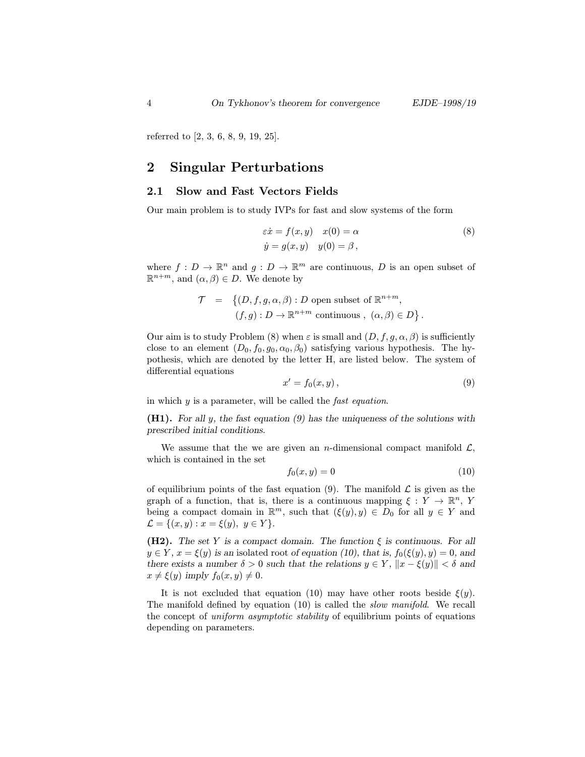referred to [2, 3, 6, 8, 9, 19, 25].

# 2 Singular Perturbations

## 2.1 Slow and Fast Vectors Fields

Our main problem is to study IVPs for fast and slow systems of the form

$$
\begin{aligned}\n\varepsilon \dot{x} &= f(x, y) & x(0) &= \alpha \\
\dot{y} &= g(x, y) & y(0) &= \beta,\n\end{aligned}
$$
\n(8)

where  $f: D \to \mathbb{R}^n$  and  $g: D \to \mathbb{R}^m$  are continuous, D is an open subset of  $\mathbb{R}^{n+m}$ , and  $(\alpha, \beta) \in D$ . We denote by

$$
\mathcal{T} = \left\{ (D, f, g, \alpha, \beta) : D \text{ open subset of } \mathbb{R}^{n+m}, \right.(f, g) : D \to \mathbb{R}^{n+m} \text{ continuous}, \ (\alpha, \beta) \in D \right\}.
$$

Our aim is to study Problem (8) when  $\varepsilon$  is small and  $(D, f, g, \alpha, \beta)$  is sufficiently close to an element  $(D_0, f_0, g_0, \alpha_0, \beta_0)$  satisfying various hypothesis. The hypothesis, which are denoted by the letter H, are listed below. The system of differential equations

$$
x' = f_0(x, y), \tag{9}
$$

in which  $y$  is a parameter, will be called the *fast equation*.

(H1). For all y, the fast equation (9) has the uniqueness of the solutions with prescribed initial conditions.

We assume that the we are given an *n*-dimensional compact manifold  $\mathcal{L}$ , which is contained in the set

$$
f_0(x,y) = 0\tag{10}
$$

of equilibrium points of the fast equation (9). The manifold  $\mathcal L$  is given as the graph of a function, that is, there is a continuous mapping  $\xi: Y \to \mathbb{R}^n$ , Y being a compact domain in  $\mathbb{R}^m$ , such that  $(\xi(y), y) \in D_0$  for all  $y \in Y$  and  $\mathcal{L} = \{(x, y) : x = \xi(y), y \in Y\}.$ 

(H2). The set Y is a compact domain. The function  $\xi$  is continuous. For all  $y \in Y$ ,  $x = \xi(y)$  is an isolated root of equation (10), that is,  $f_0(\xi(y), y) = 0$ , and there exists a number  $\delta > 0$  such that the relations  $y \in Y$ ,  $||x - \xi(y)|| < \delta$  and  $x \neq \xi(y)$  imply  $f_0(x, y) \neq 0$ .

It is not excluded that equation (10) may have other roots beside  $\xi(y)$ . The manifold defined by equation (10) is called the slow manifold. We recall the concept of uniform asymptotic stability of equilibrium points of equations depending on parameters.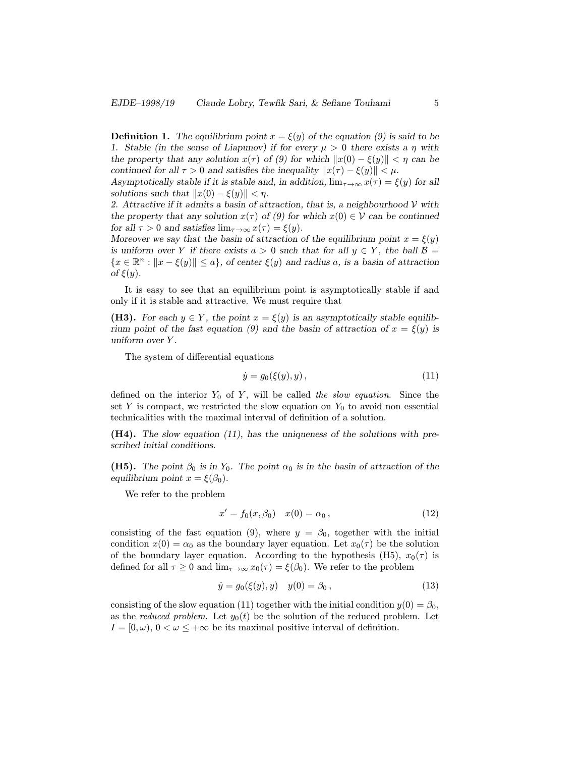**Definition 1.** The equilibrium point  $x = \xi(y)$  of the equation (9) is said to be 1. Stable (in the sense of Liapunov) if for every  $\mu > 0$  there exists a  $\eta$  with the property that any solution  $x(\tau)$  of (9) for which  $||x(0) - \xi(y)|| < \eta$  can be continued for all  $\tau > 0$  and satisfies the inequality  $||x(\tau) - \xi(y)|| < \mu$ .

Asymptotically stable if it is stable and, in addition,  $\lim_{\tau \to \infty} x(\tau) = \xi(y)$  for all solutions such that  $||x(0) - \xi(y)|| < \eta$ .

2. Attractive if it admits a basin of attraction, that is, a neighbourhood  $V$  with the property that any solution  $x(\tau)$  of (9) for which  $x(0) \in \mathcal{V}$  can be continued for all  $\tau > 0$  and satisfies  $\lim_{\tau \to \infty} x(\tau) = \xi(y)$ .

Moreover we say that the basin of attraction of the equilibrium point  $x = \xi(y)$ is uniform over Y if there exists  $a > 0$  such that for all  $y \in Y$ , the ball  $\mathcal{B} =$  ${x \in \mathbb{R}^n : ||x - \xi(y)|| \le a}$ , of center  $\xi(y)$  and radius a, is a basin of attraction of  $\xi(y)$ .

It is easy to see that an equilibrium point is asymptotically stable if and only if it is stable and attractive. We must require that

(H3). For each  $y \in Y$ , the point  $x = \xi(y)$  is an asymptotically stable equilibrium point of the fast equation (9) and the basin of attraction of  $x = \xi(y)$  is uniform over Y .

The system of differential equations

$$
\dot{y} = g_0(\xi(y), y),\tag{11}
$$

defined on the interior  $Y_0$  of Y, will be called the slow equation. Since the set Y is compact, we restricted the slow equation on  $Y_0$  to avoid non essential technicalities with the maximal interval of definition of a solution.

(H4). The slow equation (11), has the uniqueness of the solutions with prescribed initial conditions.

(H5). The point  $\beta_0$  is in Y<sub>0</sub>. The point  $\alpha_0$  is in the basin of attraction of the equilibrium point  $x = \xi(\beta_0)$ .

We refer to the problem

$$
x' = f_0(x, \beta_0) \quad x(0) = \alpha_0 \,, \tag{12}
$$

consisting of the fast equation (9), where  $y = \beta_0$ , together with the initial condition  $x(0) = \alpha_0$  as the boundary layer equation. Let  $x_0(\tau)$  be the solution of the boundary layer equation. According to the hypothesis (H5),  $x_0(\tau)$  is defined for all  $\tau \geq 0$  and  $\lim_{\tau \to \infty} x_0(\tau) = \xi(\beta_0)$ . We refer to the problem

$$
\dot{y} = g_0(\xi(y), y) \quad y(0) = \beta_0 \,, \tag{13}
$$

consisting of the slow equation (11) together with the initial condition  $y(0) = \beta_0$ , as the *reduced problem*. Let  $y_0(t)$  be the solution of the reduced problem. Let  $I = [0, \omega), 0 < \omega \leq +\infty$  be its maximal positive interval of definition.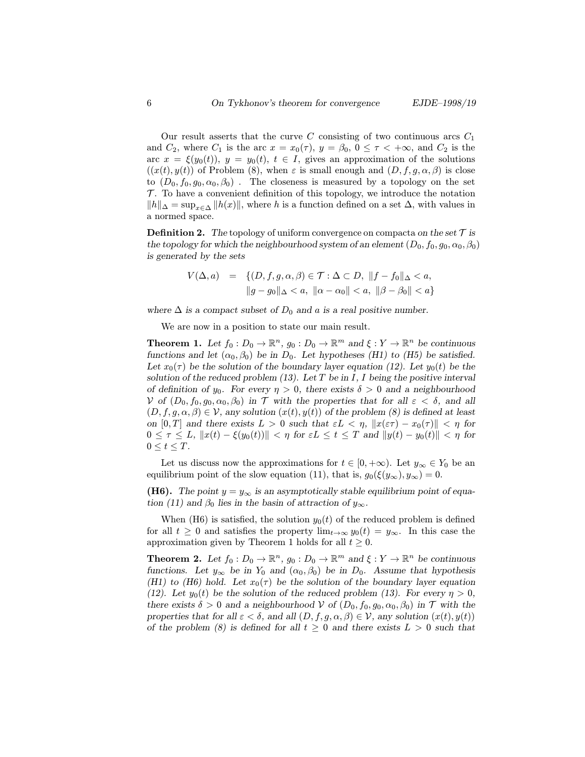Our result asserts that the curve  $C$  consisting of two continuous arcs  $C_1$ and  $C_2$ , where  $C_1$  is the arc  $x = x_0(\tau)$ ,  $y = \beta_0$ ,  $0 \le \tau < +\infty$ , and  $C_2$  is the arc  $x = \xi(y_0(t))$ ,  $y = y_0(t)$ ,  $t \in I$ , gives an approximation of the solutions  $((x(t), y(t))$  of Problem (8), when  $\varepsilon$  is small enough and  $(D, f, g, \alpha, \beta)$  is close to  $(D_0, f_0, g_0, \alpha_0, \beta_0)$ . The closeness is measured by a topology on the set  $\mathcal{T}$ . To have a convenient definition of this topology, we introduce the notation  $||h||_{\Delta} = \sup_{x \in \Delta} ||h(x)||$ , where h is a function defined on a set  $\Delta$ , with values in a normed space.

**Definition 2.** The topology of uniform convergence on compacta on the set  $\mathcal{T}$  is the topology for which the neighbourhood system of an element  $(D_0, f_0, g_0, \alpha_0, \beta_0)$ is generated by the sets

$$
V(\Delta, a) = \{ (D, f, g, \alpha, \beta) \in \mathcal{T} : \Delta \subset D, ||f - f_0||_{\Delta} < a, ||g - g_0||_{\Delta} < a, ||\alpha - \alpha_0|| < a, ||\beta - \beta_0|| < a \}
$$

where  $\Delta$  is a compact subset of  $D_0$  and a is a real positive number.

We are now in a position to state our main result.

**Theorem 1.** Let  $f_0: D_0 \to \mathbb{R}^n$ ,  $g_0: D_0 \to \mathbb{R}^m$  and  $\xi: Y \to \mathbb{R}^n$  be continuous functions and let  $(\alpha_0, \beta_0)$  be in  $D_0$ . Let hypotheses (H1) to (H5) be satisfied. Let  $x_0(\tau)$  be the solution of the boundary layer equation (12). Let  $y_0(t)$  be the solution of the reduced problem  $(13)$ . Let T be in I, I being the positive interval of definition of y<sub>0</sub>. For every  $\eta > 0$ , there exists  $\delta > 0$  and a neighbourhood V of  $(D_0, f_0, g_0, \alpha_0, \beta_0)$  in T with the properties that for all  $\varepsilon < \delta$ , and all  $(D, f, g, \alpha, \beta) \in \mathcal{V}$ , any solution  $(x(t), y(t))$  of the problem  $(\beta)$  is defined at least on  $[0, T]$  and there exists  $L > 0$  such that  $\varepsilon L < \eta$ ,  $||x(\varepsilon \tau) - x_0(\tau)|| < \eta$  for  $0 \leq \tau \leq L$ ,  $||x(t) - \xi(y_0(t))|| < \eta$  for  $\varepsilon L \leq t \leq T$  and  $||y(t) - y_0(t)|| < \eta$  for  $0 \leq t \leq T$ .

Let us discuss now the approximations for  $t \in [0, +\infty)$ . Let  $y_\infty \in Y_0$  be an equilibrium point of the slow equation (11), that is,  $g_0(\xi(y_\infty), y_\infty) = 0$ .

**(H6).** The point  $y = y_{\infty}$  is an asymptotically stable equilibrium point of equation (11) and  $\beta_0$  lies in the basin of attraction of  $y_\infty$ .

When (H6) is satisfied, the solution  $y_0(t)$  of the reduced problem is defined for all  $t \geq 0$  and satisfies the property  $\lim_{t\to\infty} y_0(t) = y_\infty$ . In this case the approximation given by Theorem 1 holds for all  $t \geq 0$ .

**Theorem 2.** Let  $f_0: D_0 \to \mathbb{R}^n$ ,  $g_0: D_0 \to \mathbb{R}^m$  and  $\xi: Y \to \mathbb{R}^n$  be continuous functions. Let  $y_{\infty}$  be in  $Y_0$  and  $(\alpha_0, \beta_0)$  be in  $D_0$ . Assume that hypothesis (H1) to (H6) hold. Let  $x_0(\tau)$  be the solution of the boundary layer equation (12). Let  $y_0(t)$  be the solution of the reduced problem (13). For every  $\eta > 0$ , there exists  $\delta > 0$  and a neighbourhood V of  $(D_0, f_0, g_0, \alpha_0, \beta_0)$  in T with the properties that for all  $\varepsilon < \delta$ , and all  $(D, f, g, \alpha, \beta) \in \mathcal{V}$ , any solution  $(x(t), y(t))$ of the problem (8) is defined for all  $t \geq 0$  and there exists  $L > 0$  such that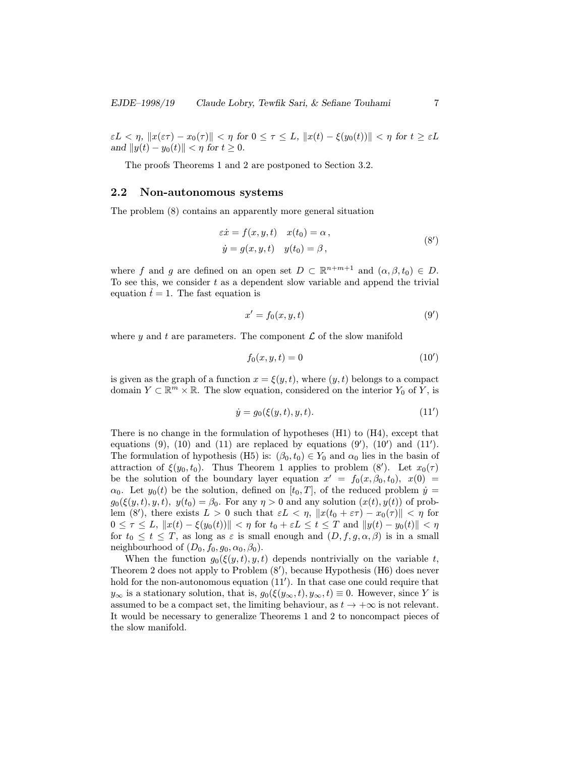$\epsilon L < \eta$ ,  $||x(\epsilon \tau) - x_0(\tau)|| < \eta$  for  $0 \le \tau \le L$ ,  $||x(t) - \xi(y_0(t))|| < \eta$  for  $t \ge \epsilon L$ and  $||y(t) - y_0(t)|| < \eta$  for  $t \ge 0$ .

The proofs Theorems 1 and 2 are postponed to Section 3.2.

## 2.2 Non-autonomous systems

The problem (8) contains an apparently more general situation

$$
\begin{aligned}\n\varepsilon \dot{x} &= f(x, y, t) & x(t_0) &= \alpha, \\
\dot{y} &= g(x, y, t) & y(t_0) &= \beta,\n\end{aligned} \tag{8'}
$$

where f and g are defined on an open set  $D \subset \mathbb{R}^{n+m+1}$  and  $(\alpha, \beta, t_0) \in D$ . To see this, we consider  $t$  as a dependent slow variable and append the trivial equation  $\dot{t} = 1$ . The fast equation is

$$
x' = f_0(x, y, t) \tag{9'}
$$

where y and t are parameters. The component  $\mathcal L$  of the slow manifold

$$
f_0(x, y, t) = 0\tag{10'}
$$

is given as the graph of a function  $x = \xi(y, t)$ , where  $(y, t)$  belongs to a compact domain  $Y \subset \mathbb{R}^m \times \mathbb{R}$ . The slow equation, considered on the interior  $Y_0$  of Y, is

$$
\dot{y} = g_0(\xi(y, t), y, t). \tag{11'}
$$

There is no change in the formulation of hypotheses  $(H1)$  to  $(H4)$ , except that equations  $(9)$ ,  $(10)$  and  $(11)$  are replaced by equations  $(9')$ ,  $(10')$  and  $(11')$ . The formulation of hypothesis (H5) is:  $(\beta_0, t_0) \in Y_0$  and  $\alpha_0$  lies in the basin of attraction of  $\xi(y_0, t_0)$ . Thus Theorem 1 applies to problem  $(8')$ . Let  $x_0(\tau)$ be the solution of the boundary layer equation  $x' = f_0(x, \beta_0, t_0), x(0) =$  $\alpha_0$ . Let  $y_0(t)$  be the solution, defined on  $[t_0, T]$ , of the reduced problem  $\dot{y} =$  $g_0(\xi(y,t), y, t)$ ,  $y(t_0) = \beta_0$ . For any  $\eta > 0$  and any solution  $(x(t), y(t))$  of problem (8'), there exists  $L > 0$  such that  $\varepsilon L < \eta$ ,  $||x(t_0 + \varepsilon \tau) - x_0(\tau)|| < \eta$  for  $0 \leq \tau \leq L, \|x(t) - \xi(y_0(t))\| < \eta$  for  $t_0 + \varepsilon L \leq t \leq T$  and  $\|y(t) - y_0(t)\| < \eta$ for  $t_0 \leq t \leq T$ , as long as  $\varepsilon$  is small enough and  $(D, f, g, \alpha, \beta)$  is in a small neighbourhood of  $(D_0, f_0, g_0, \alpha_0, \beta_0)$ .

When the function  $g_0(\xi(y, t), y, t)$  depends nontrivially on the variable t, Theorem 2 does not apply to Problem  $(8')$ , because Hypothesis (H6) does never hold for the non-autonomous equation  $(11')$ . In that case one could require that  $y_{\infty}$  is a stationary solution, that is,  $g_0(\xi(y_{\infty}, t), y_{\infty}, t) \equiv 0$ . However, since Y is assumed to be a compact set, the limiting behaviour, as  $t \to +\infty$  is not relevant. It would be necessary to generalize Theorems 1 and 2 to noncompact pieces of the slow manifold.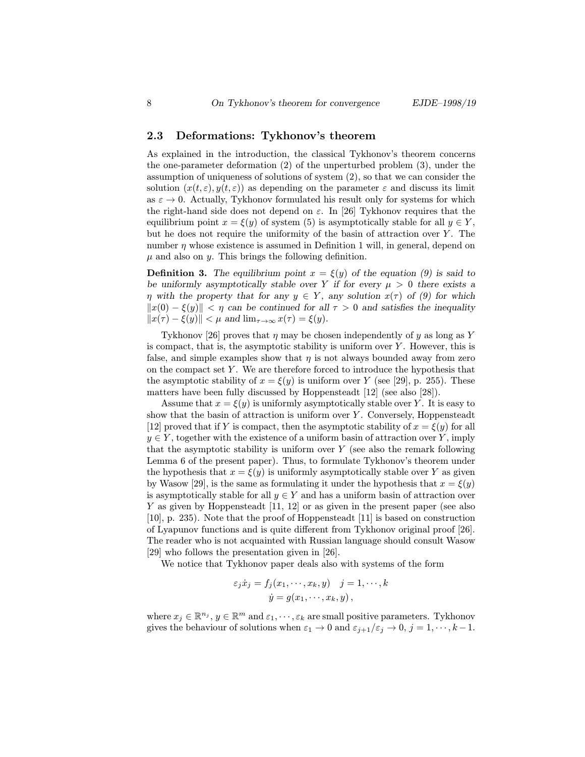## 2.3 Deformations: Tykhonov's theorem

As explained in the introduction, the classical Tykhonov's theorem concerns the one-parameter deformation (2) of the unperturbed problem (3), under the assumption of uniqueness of solutions of system (2), so that we can consider the solution  $(x(t, \varepsilon), y(t, \varepsilon))$  as depending on the parameter  $\varepsilon$  and discuss its limit as  $\varepsilon \to 0$ . Actually, Tykhonov formulated his result only for systems for which the right-hand side does not depend on  $\varepsilon$ . In [26] Tykhonov requires that the equilibrium point  $x = \xi(y)$  of system (5) is asymptotically stable for all  $y \in Y$ , but he does not require the uniformity of the basin of attraction over  $Y$ . The number  $\eta$  whose existence is assumed in Definition 1 will, in general, depend on  $\mu$  and also on  $\mu$ . This brings the following definition.

**Definition 3.** The equilibrium point  $x = \xi(y)$  of the equation (9) is said to be uniformly asymptotically stable over Y if for every  $\mu > 0$  there exists a  $η$  with the property that for any  $y \in Y$ , any solution  $x(τ)$  of (9) for which  $||x(0) - \xi(y)|| < n$  can be continued for all  $\tau > 0$  and satisfies the inequality  $||x(\tau) - \xi(y)|| < \mu$  and  $\lim_{\tau \to \infty} x(\tau) = \xi(y)$ .

Tykhonov [26] proves that  $\eta$  may be chosen independently of y as long as Y is compact, that is, the asymptotic stability is uniform over  $Y$ . However, this is false, and simple examples show that  $\eta$  is not always bounded away from zero on the compact set Y . We are therefore forced to introduce the hypothesis that the asymptotic stability of  $x = \xi(y)$  is uniform over Y (see [29], p. 255). These matters have been fully discussed by Hoppensteadt [12] (see also [28]).

Assume that  $x = \xi(y)$  is uniformly asymptotically stable over Y. It is easy to show that the basin of attraction is uniform over  $Y$ . Conversely, Hoppensteadt [12] proved that if Y is compact, then the asymptotic stability of  $x = \xi(y)$  for all  $y \in Y$ , together with the existence of a uniform basin of attraction over Y, imply that the asymptotic stability is uniform over  $Y$  (see also the remark following Lemma 6 of the present paper). Thus, to formulate Tykhonov's theorem under the hypothesis that  $x = \xi(y)$  is uniformly asymptotically stable over Y as given by Wasow [29], is the same as formulating it under the hypothesis that  $x = \xi(y)$ is asymptotically stable for all  $y \in Y$  and has a uniform basin of attraction over Y as given by Hoppensteadt [11, 12] or as given in the present paper (see also [10], p. 235). Note that the proof of Hoppensteadt [11] is based on construction of Lyapunov functions and is quite different from Tykhonov original proof [26]. The reader who is not acquainted with Russian language should consult Wasow [29] who follows the presentation given in [26].

We notice that Tykhonov paper deals also with systems of the form

$$
\varepsilon_j \dot{x}_j = f_j(x_1, \dots, x_k, y) \quad j = 1, \dots, k
$$
  

$$
\dot{y} = g(x_1, \dots, x_k, y),
$$

where  $x_j \in \mathbb{R}^{n_j}$ ,  $y \in \mathbb{R}^m$  and  $\varepsilon_1, \dots, \varepsilon_k$  are small positive parameters. Tykhonov gives the behaviour of solutions when  $\varepsilon_1 \to 0$  and  $\varepsilon_{j+1}/\varepsilon_j \to 0$ ,  $j = 1, \dots, k-1$ .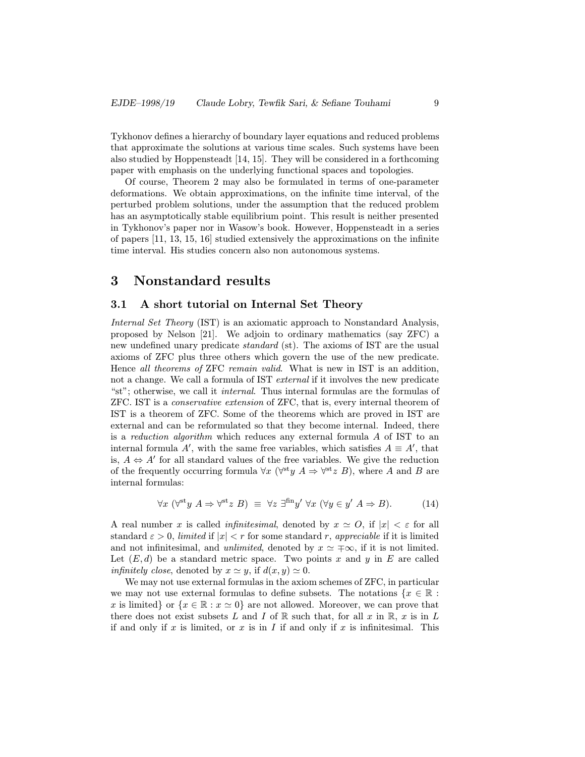Tykhonov defines a hierarchy of boundary layer equations and reduced problems that approximate the solutions at various time scales. Such systems have been also studied by Hoppensteadt [14, 15]. They will be considered in a forthcoming paper with emphasis on the underlying functional spaces and topologies.

Of course, Theorem 2 may also be formulated in terms of one-parameter deformations. We obtain approximations, on the infinite time interval, of the perturbed problem solutions, under the assumption that the reduced problem has an asymptotically stable equilibrium point. This result is neither presented in Tykhonov's paper nor in Wasow's book. However, Hoppensteadt in a series of papers [11, 13, 15, 16] studied extensively the approximations on the infinite time interval. His studies concern also non autonomous systems.

# 3 Nonstandard results

## 3.1 A short tutorial on Internal Set Theory

Internal Set Theory (IST) is an axiomatic approach to Nonstandard Analysis, proposed by Nelson [21]. We adjoin to ordinary mathematics (say ZFC) a new undefined unary predicate standard (st). The axioms of IST are the usual axioms of ZFC plus three others which govern the use of the new predicate. Hence all theorems of ZFC remain valid. What is new in IST is an addition, not a change. We call a formula of IST external if it involves the new predicate "st"; otherwise, we call it internal. Thus internal formulas are the formulas of ZFC. IST is a conservative extension of ZFC, that is, every internal theorem of IST is a theorem of ZFC. Some of the theorems which are proved in IST are external and can be reformulated so that they become internal. Indeed, there is a reduction algorithm which reduces any external formula A of IST to an internal formula A', with the same free variables, which satisfies  $A \equiv A'$ , that is,  $A \Leftrightarrow A'$  for all standard values of the free variables. We give the reduction of the frequently occurring formula  $\forall x$  ( $\forall^{\text{st}} y \land \Rightarrow \forall^{\text{st}} z \land B$ ), where A and B are internal formulas:

$$
\forall x \ (\forall^{\text{st}} y \ A \Rightarrow \forall^{\text{st}} z \ B) \ \equiv \ \forall z \ \exists^{\text{fin}} y' \ \forall x \ (\forall y \in y' \ A \Rightarrow B). \tag{14}
$$

A real number x is called *infinitesimal*, denoted by  $x \simeq O$ , if  $|x| < \varepsilon$  for all standard  $\varepsilon > 0$ , limited if  $|x| < r$  for some standard r, appreciable if it is limited and not infinitesimal, and *unlimited*, denoted by  $x \approx \pm \infty$ , if it is not limited. Let  $(E, d)$  be a standard metric space. Two points x and y in E are called *infinitely close*, denoted by  $x \simeq y$ , if  $d(x, y) \simeq 0$ .

We may not use external formulas in the axiom schemes of ZFC, in particular we may not use external formulas to define subsets. The notations  $\{x \in \mathbb{R} :$ x is limited} or  $\{x \in \mathbb{R} : x \simeq 0\}$  are not allowed. Moreover, we can prove that there does not exist subsets L and I of R such that, for all x in R, x is in L if and only if x is limited, or x is in I if and only if x is infinitesimal. This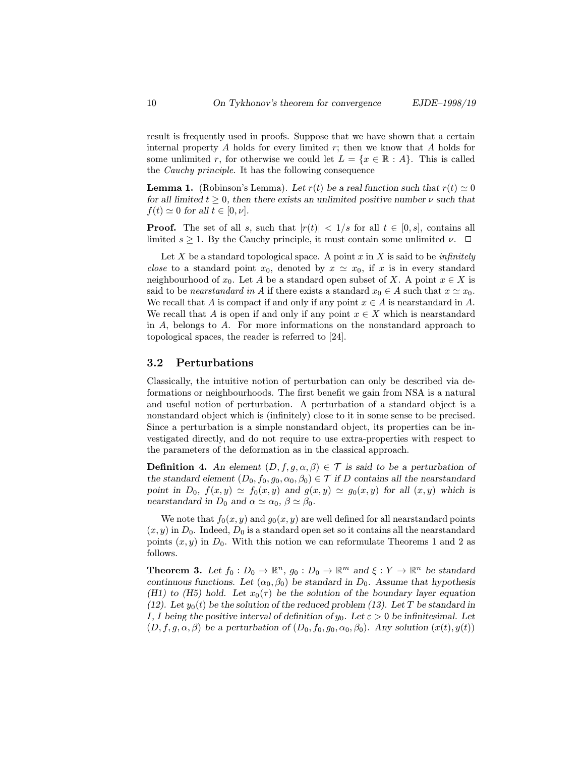result is frequently used in proofs. Suppose that we have shown that a certain internal property  $A$  holds for every limited  $r$ ; then we know that  $A$  holds for some unlimited r, for otherwise we could let  $L = \{x \in \mathbb{R} : A\}$ . This is called the Cauchy principle. It has the following consequence

**Lemma 1.** (Robinson's Lemma). Let  $r(t)$  be a real function such that  $r(t) \simeq 0$ for all limited  $t \geq 0$ , then there exists an unlimited positive number  $\nu$  such that  $f(t) \simeq 0$  for all  $t \in [0, \nu]$ .

**Proof.** The set of all s, such that  $|r(t)| < 1/s$  for all  $t \in [0, s]$ , contains all limited  $s \geq 1$ . By the Cauchy principle, it must contain some unlimited  $\nu$ .  $\Box$ 

Let X be a standard topological space. A point x in X is said to be *infinitely close* to a standard point  $x_0$ , denoted by  $x \approx x_0$ , if x is in every standard neighbourhood of  $x_0$ . Let A be a standard open subset of X. A point  $x \in X$  is said to be nearstandard in A if there exists a standard  $x_0 \in A$  such that  $x \simeq x_0$ . We recall that A is compact if and only if any point  $x \in A$  is nearstandard in A. We recall that A is open if and only if any point  $x \in X$  which is nearstandard in A, belongs to A. For more informations on the nonstandard approach to topological spaces, the reader is referred to [24].

## 3.2 Perturbations

Classically, the intuitive notion of perturbation can only be described via deformations or neighbourhoods. The first benefit we gain from NSA is a natural and useful notion of perturbation. A perturbation of a standard object is a nonstandard object which is (infinitely) close to it in some sense to be precised. Since a perturbation is a simple nonstandard object, its properties can be investigated directly, and do not require to use extra-properties with respect to the parameters of the deformation as in the classical approach.

**Definition 4.** An element  $(D, f, g, \alpha, \beta) \in \mathcal{T}$  is said to be a perturbation of the standard element  $(D_0, f_0, g_0, \alpha_0, \beta_0) \in \mathcal{T}$  if D contains all the nearstandard point in  $D_0$ ,  $f(x, y) \simeq f_0(x, y)$  and  $g(x, y) \simeq g_0(x, y)$  for all  $(x, y)$  which is nearstandard in  $D_0$  and  $\alpha \simeq \alpha_0$ ,  $\beta \simeq \beta_0$ .

We note that  $f_0(x, y)$  and  $g_0(x, y)$  are well defined for all nearstandard points  $(x, y)$  in  $D_0$ . Indeed,  $D_0$  is a standard open set so it contains all the nearstandard points  $(x, y)$  in  $D_0$ . With this notion we can reformulate Theorems 1 and 2 as follows.

**Theorem 3.** Let  $f_0 : D_0 \to \mathbb{R}^n$ ,  $g_0 : D_0 \to \mathbb{R}^m$  and  $\xi : Y \to \mathbb{R}^n$  be standard continuous functions. Let  $(\alpha_0, \beta_0)$  be standard in  $D_0$ . Assume that hypothesis (H1) to (H5) hold. Let  $x_0(\tau)$  be the solution of the boundary layer equation (12). Let  $y_0(t)$  be the solution of the reduced problem (13). Let T be standard in I, I being the positive interval of definition of  $y_0$ . Let  $\varepsilon > 0$  be infinitesimal. Let  $(D, f, g, \alpha, \beta)$  be a perturbation of  $(D_0, f_0, g_0, \alpha_0, \beta_0)$ . Any solution  $(x(t), y(t))$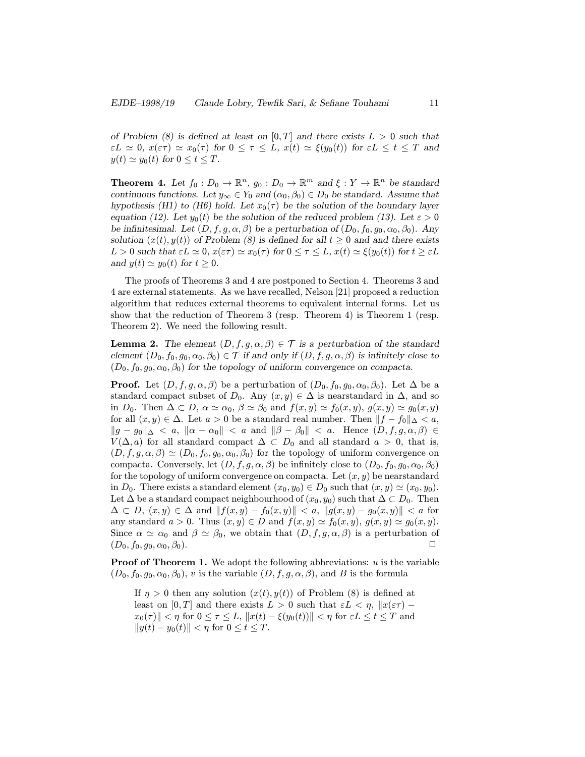of Problem (8) is defined at least on  $[0, T]$  and there exists  $L > 0$  such that  $\varepsilon L \simeq 0$ ,  $x(\varepsilon \tau) \simeq x_0(\tau)$  for  $0 \leq \tau \leq L$ ,  $x(t) \simeq \xi(y_0(t))$  for  $\varepsilon L \leq t \leq T$  and  $y(t) \simeq y_0(t)$  for  $0 \le t \le T$ .

**Theorem 4.** Let  $f_0 : D_0 \to \mathbb{R}^n$ ,  $g_0 : D_0 \to \mathbb{R}^m$  and  $\xi : Y \to \mathbb{R}^n$  be standard continuous functions. Let  $y_{\infty} \in Y_0$  and  $(\alpha_0, \beta_0) \in D_0$  be standard. Assume that hypothesis (H1) to (H6) hold. Let  $x_0(\tau)$  be the solution of the boundary layer equation (12). Let  $y_0(t)$  be the solution of the reduced problem (13). Let  $\varepsilon > 0$ be infinitesimal. Let  $(D, f, g, \alpha, \beta)$  be a perturbation of  $(D_0, f_0, g_0, \alpha_0, \beta_0)$ . Any solution  $(x(t), y(t))$  of Problem (8) is defined for all  $t \ge 0$  and and there exists  $L > 0$  such that  $\epsilon L \simeq 0$ ,  $x(\epsilon \tau) \simeq x_0(\tau)$  for  $0 \leq \tau \leq L$ ,  $x(t) \simeq \xi(y_0(t))$  for  $t \geq \epsilon L$ and  $y(t) \simeq y_0(t)$  for  $t \geq 0$ .

The proofs of Theorems 3 and 4 are postponed to Section 4. Theorems 3 and 4 are external statements. As we have recalled, Nelson [21] proposed a reduction algorithm that reduces external theorems to equivalent internal forms. Let us show that the reduction of Theorem 3 (resp. Theorem 4) is Theorem 1 (resp. Theorem 2). We need the following result.

**Lemma 2.** The element  $(D, f, g, \alpha, \beta) \in \mathcal{T}$  is a perturbation of the standard element  $(D_0, f_0, g_0, \alpha_0, \beta_0) \in \mathcal{T}$  if and only if  $(D, f, g, \alpha, \beta)$  is infinitely close to  $(D_0, f_0, g_0, \alpha_0, \beta_0)$  for the topology of uniform convergence on compacta.

**Proof.** Let  $(D, f, g, \alpha, \beta)$  be a perturbation of  $(D_0, f_0, g_0, \alpha_0, \beta_0)$ . Let  $\Delta$  be a standard compact subset of  $D_0$ . Any  $(x, y) \in \Delta$  is nearstandard in  $\Delta$ , and so in  $D_0$ . Then  $\Delta \subset D$ ,  $\alpha \simeq \alpha_0$ ,  $\beta \simeq \beta_0$  and  $f(x, y) \simeq f_0(x, y)$ ,  $g(x, y) \simeq g_0(x, y)$ for all  $(x, y) \in \Delta$ . Let  $a > 0$  be a standard real number. Then  $||f - f_0||_{\Delta} < a$ ,  $||g - g_0||_{\Delta} < a, ||\alpha - \alpha_0|| < a$  and  $||\beta - \beta_0|| < a$ . Hence  $(D, f, g, \alpha, \beta) \in$  $V(\Delta, a)$  for all standard compact  $\Delta \subset D_0$  and all standard  $a > 0$ , that is,  $(D, f, g, \alpha, \beta) \simeq (D_0, f_0, g_0, \alpha_0, \beta_0)$  for the topology of uniform convergence on compacta. Conversely, let  $(D, f, g, \alpha, \beta)$  be infinitely close to  $(D_0, f_0, g_0, \alpha_0, \beta_0)$ for the topology of uniform convergence on compacta. Let  $(x, y)$  be nearstandard in  $D_0$ . There exists a standard element  $(x_0, y_0) \in D_0$  such that  $(x, y) \simeq (x_0, y_0)$ . Let  $\Delta$  be a standard compact neighbourhood of  $(x_0, y_0)$  such that  $\Delta \subset D_0$ . Then  $\Delta \subset D, (x, y) \in \Delta \text{ and } ||f(x, y) - f_0(x, y)|| < a, ||g(x, y) - g_0(x, y)|| < a \text{ for }$ any standard  $a > 0$ . Thus  $(x, y) \in D$  and  $f(x, y) \simeq f_0(x, y), g(x, y) \simeq g_0(x, y)$ . Since  $\alpha \simeq \alpha_0$  and  $\beta \simeq \beta_0$ , we obtain that  $(D, f, g, \alpha, \beta)$  is a perturbation of  $(D_0, f_0, g_0, \alpha_0, \beta_0).$ 

**Proof of Theorem 1.** We adopt the following abbreviations:  $u$  is the variable  $(D_0, f_0, g_0, \alpha_0, \beta_0)$ , v is the variable  $(D, f, g, \alpha, \beta)$ , and B is the formula

If  $\eta > 0$  then any solution  $(x(t), y(t))$  of Problem (8) is defined at least on [0, T] and there exists  $L > 0$  such that  $\varepsilon L < \eta$ ,  $||x(\varepsilon \tau)$  $x_0(\tau)\| \leq \eta$  for  $0 \leq \tau \leq L$ ,  $||x(t) - \xi(y_0(t))|| < \eta$  for  $\varepsilon L \leq t \leq T$  and  $||y(t) - y_0(t)|| < \eta$  for  $0 \le t \le T$ .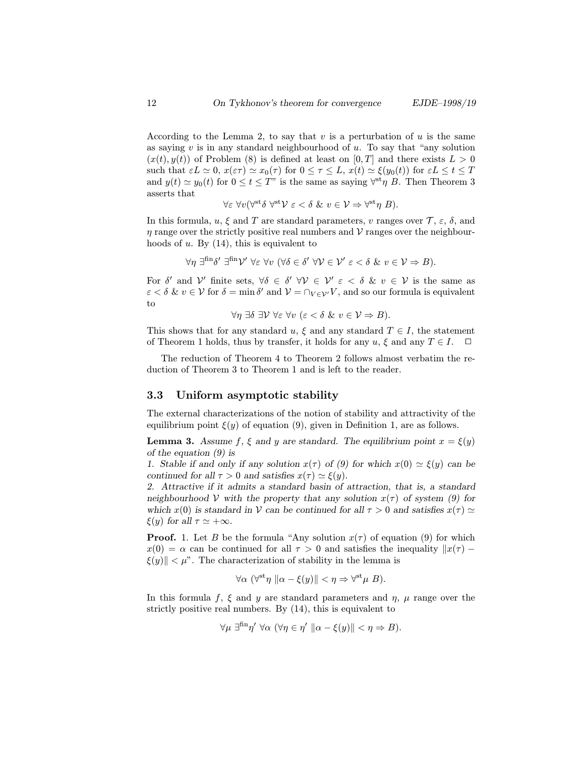According to the Lemma 2, to say that  $v$  is a perturbation of  $u$  is the same as saying  $v$  is in any standard neighbourhood of  $u$ . To say that "any solution  $(x(t), y(t))$  of Problem (8) is defined at least on [0, T] and there exists  $L > 0$ such that  $\varepsilon L \simeq 0$ ,  $x(\varepsilon \tau) \simeq x_0(\tau)$  for  $0 \leq \tau \leq L$ ,  $x(t) \simeq \xi(y_0(t))$  for  $\varepsilon L \leq t \leq T$ and  $y(t) \simeq y_0(t)$  for  $0 \le t \le T$ " is the same as saying  $\forall^{st} \eta$  B. Then Theorem 3 asserts that

$$
\forall \varepsilon \ \forall v (\forall^{\text{st}} \delta \ \forall^{\text{st}} \mathcal{V} \ \varepsilon < \delta \ \& \ v \in \mathcal{V} \Rightarrow \forall^{\text{st}} \eta \ B).
$$

In this formula,  $u, \xi$  and T are standard parameters, v ranges over  $\mathcal{T}, \varepsilon, \delta$ , and  $\eta$  range over the strictly positive real numbers and V ranges over the neighbourhoods of  $u$ . By  $(14)$ , this is equivalent to

$$
\forall \eta \; \exists^{\text{fin}} \delta' \; \exists^{\text{fin}} \mathcal{V}' \; \forall \varepsilon \; \forall v \; (\forall \delta \in \delta' \; \forall \mathcal{V} \in \mathcal{V}' \; \varepsilon < \delta \; \& \; v \in \mathcal{V} \Rightarrow B).
$$

For  $\delta'$  and  $\mathcal V'$  finite sets,  $\forall \delta \in \delta' \ \forall \mathcal V \in \mathcal V' \ \varepsilon \langle \delta \& v \in \mathcal V$  is the same as  $\varepsilon < \delta \& v \in V$  for  $\delta = \min \delta'$  and  $V = \bigcap_{V \in V'} V$ , and so our formula is equivalent to

$$
\forall \eta \; \exists \delta \; \exists \mathcal{V} \; \forall \varepsilon \; \forall v \; (\varepsilon < \delta \; \& \; v \in \mathcal{V} \Rightarrow B).
$$

This shows that for any standard u,  $\xi$  and any standard  $T \in I$ , the statement of Theorem 1 holds, thus by transfer, it holds for any  $u, \xi$  and any  $T \in I$ .  $\Box$ 

The reduction of Theorem 4 to Theorem 2 follows almost verbatim the reduction of Theorem 3 to Theorem 1 and is left to the reader.

## 3.3 Uniform asymptotic stability

The external characterizations of the notion of stability and attractivity of the equilibrium point  $\xi(y)$  of equation (9), given in Definition 1, are as follows.

**Lemma 3.** Assume f,  $\xi$  and y are standard. The equilibrium point  $x = \xi(y)$ of the equation (9) is

1. Stable if and only if any solution  $x(\tau)$  of (9) for which  $x(0) \simeq \xi(y)$  can be continued for all  $\tau > 0$  and satisfies  $x(\tau) \simeq \xi(y)$ .

2. Attractive if it admits a standard basin of attraction, that is, a standard neighbourhood V with the property that any solution  $x(\tau)$  of system (9) for which  $x(0)$  is standard in V can be continued for all  $\tau > 0$  and satisfies  $x(\tau) \simeq$  $\xi(y)$  for all  $\tau \simeq +\infty$ .

**Proof.** 1. Let B be the formula "Any solution  $x(\tau)$  of equation (9) for which  $x(0) = \alpha$  can be continued for all  $\tau > 0$  and satisfies the inequality  $||x(\tau) |\xi(y)|| < \mu$ ". The characterization of stability in the lemma is

$$
\forall \alpha \ (\forall^{\text{st}} \eta \ \| \alpha - \xi(y) \| < \eta \Rightarrow \forall^{\text{st}} \mu \ B).
$$

In this formula f,  $\xi$  and y are standard parameters and  $\eta$ ,  $\mu$  range over the strictly positive real numbers. By (14), this is equivalent to

$$
\forall \mu \exists^{\text{fin}} \eta' \ \forall \alpha \ (\forall \eta \in \eta' \ || \alpha - \xi(y) || < \eta \Rightarrow B).
$$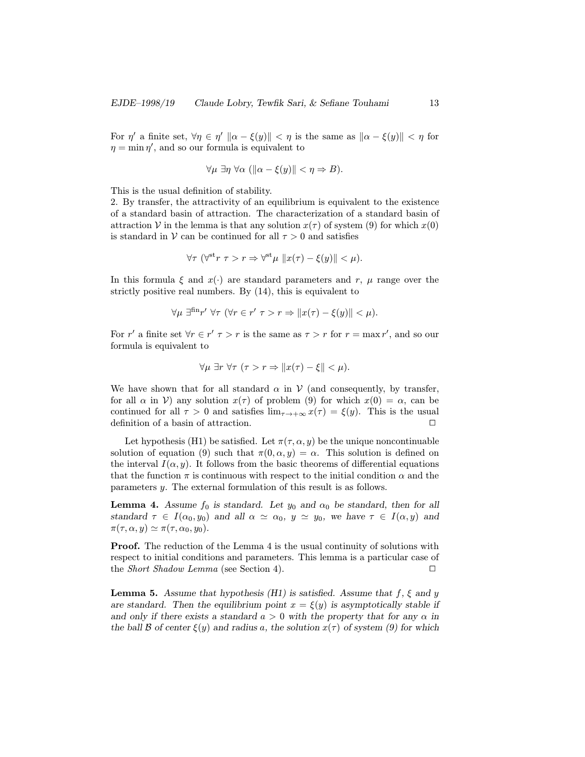For  $\eta'$  a finite set,  $\forall \eta \in \eta' \|\alpha - \xi(y)\| < \eta$  is the same as  $\|\alpha - \xi(y)\| < \eta$  for  $\eta = \min \eta'$ , and so our formula is equivalent to

$$
\forall \mu \exists \eta \; \forall \alpha \; (\|\alpha - \xi(y)\| < \eta \Rightarrow B).
$$

This is the usual definition of stability.

2. By transfer, the attractivity of an equilibrium is equivalent to the existence of a standard basin of attraction. The characterization of a standard basin of attraction V in the lemma is that any solution  $x(\tau)$  of system (9) for which  $x(0)$ is standard in V can be continued for all  $\tau > 0$  and satisfies

$$
\forall \tau \ (\forall^{\text{st}} r \ \tau > r \Rightarrow \forall^{\text{st}} \mu \ \|x(\tau) - \xi(y)\| < \mu).
$$

In this formula  $\xi$  and  $x(\cdot)$  are standard parameters and r,  $\mu$  range over the strictly positive real numbers. By (14), this is equivalent to

$$
\forall \mu \exists^{\text{fin}} r' \,\forall \tau \, (\forall r \in r' \, \tau > r \Rightarrow \|x(\tau) - \xi(y)\| < \mu).
$$

For r' a finite set  $\forall r \in r'$   $\tau > r$  is the same as  $\tau > r$  for  $r = \max r'$ , and so our formula is equivalent to

$$
\forall \mu \exists r \,\forall \tau \, (\tau > r \Rightarrow \|x(\tau) - \xi\| < \mu).
$$

We have shown that for all standard  $\alpha$  in  $\mathcal V$  (and consequently, by transfer, for all  $\alpha$  in  $V$ ) any solution  $x(\tau)$  of problem (9) for which  $x(0) = \alpha$ , can be continued for all  $\tau > 0$  and satisfies  $\lim_{\tau \to +\infty} x(\tau) = \xi(y)$ . This is the usual definition of a basin of attraction. <sup>2</sup>

Let hypothesis (H1) be satisfied. Let  $\pi(\tau, \alpha, y)$  be the unique noncontinuable solution of equation (9) such that  $\pi(0, \alpha, y) = \alpha$ . This solution is defined on the interval  $I(\alpha, y)$ . It follows from the basic theorems of differential equations that the function  $\pi$  is continuous with respect to the initial condition  $\alpha$  and the parameters y. The external formulation of this result is as follows.

**Lemma 4.** Assume  $f_0$  is standard. Let  $y_0$  and  $\alpha_0$  be standard, then for all standard  $\tau \in I(\alpha_0, y_0)$  and all  $\alpha \simeq \alpha_0, y \simeq y_0$ , we have  $\tau \in I(\alpha, y)$  and  $\pi(\tau, \alpha, y) \simeq \pi(\tau, \alpha_0, y_0).$ 

Proof. The reduction of the Lemma 4 is the usual continuity of solutions with respect to initial conditions and parameters. This lemma is a particular case of the *Short Shadow Lemma* (see Section 4).

**Lemma 5.** Assume that hypothesis (H1) is satisfied. Assume that  $f$ ,  $\xi$  and  $y$ are standard. Then the equilibrium point  $x = \xi(y)$  is asymptotically stable if and only if there exists a standard  $a > 0$  with the property that for any  $\alpha$  in the ball B of center  $\xi(y)$  and radius a, the solution  $x(\tau)$  of system (9) for which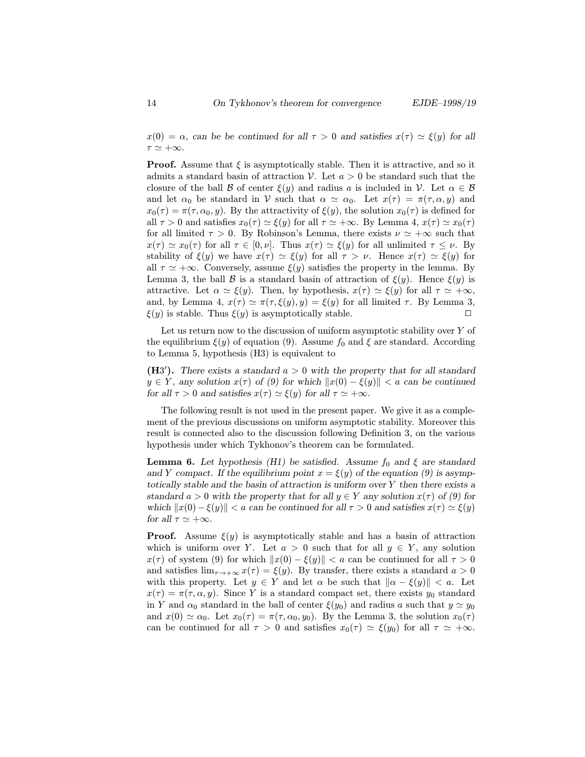**Proof.** Assume that  $\xi$  is asymptotically stable. Then it is attractive, and so it admits a standard basin of attraction V. Let  $a > 0$  be standard such that the closure of the ball B of center  $\xi(y)$  and radius a is included in V. Let  $\alpha \in \mathcal{B}$ and let  $\alpha_0$  be standard in V such that  $\alpha \simeq \alpha_0$ . Let  $x(\tau) = \pi(\tau, \alpha, y)$  and  $x_0(\tau) = \pi(\tau, \alpha_0, y)$ . By the attractivity of  $\xi(y)$ , the solution  $x_0(\tau)$  is defined for all  $\tau > 0$  and satisfies  $x_0(\tau) \simeq \xi(y)$  for all  $\tau \simeq +\infty$ . By Lemma 4,  $x(\tau) \simeq x_0(\tau)$ for all limited  $\tau > 0$ . By Robinson's Lemma, there exists  $\nu \simeq +\infty$  such that  $x(\tau) \simeq x_0(\tau)$  for all  $\tau \in [0, \nu]$ . Thus  $x(\tau) \simeq \xi(y)$  for all unlimited  $\tau \leq \nu$ . By stability of  $\xi(y)$  we have  $x(\tau) \simeq \xi(y)$  for all  $\tau > \nu$ . Hence  $x(\tau) \simeq \xi(y)$  for all  $\tau \simeq +\infty$ . Conversely, assume  $\xi(y)$  satisfies the property in the lemma. By Lemma 3, the ball B is a standard basin of attraction of  $\xi(y)$ . Hence  $\xi(y)$  is attractive. Let  $\alpha \simeq \xi(y)$ . Then, by hypothesis,  $x(\tau) \simeq \xi(y)$  for all  $\tau \simeq +\infty$ , and, by Lemma 4,  $x(\tau) \simeq \pi(\tau, \xi(y), y) = \xi(y)$  for all limited  $\tau$ . By Lemma 3,  $\xi(y)$  is stable. Thus  $\xi(y)$  is asymptotically stable.

Let us return now to the discussion of uniform asymptotic stability over  $Y$  of the equilibrium  $\xi(y)$  of equation (9). Assume  $f_0$  and  $\xi$  are standard. According to Lemma 5, hypothesis (H3) is equivalent to

(H3'). There exists a standard  $a > 0$  with the property that for all standard  $y \in Y$ , any solution  $x(\tau)$  of (9) for which  $||x(0) - \xi(y)|| < a$  can be continued for all  $\tau > 0$  and satisfies  $x(\tau) \simeq \xi(y)$  for all  $\tau \simeq +\infty$ .

The following result is not used in the present paper. We give it as a complement of the previous discussions on uniform asymptotic stability. Moreover this result is connected also to the discussion following Definition 3, on the various hypothesis under which Tykhonov's theorem can be formulated.

**Lemma 6.** Let hypothesis (H1) be satisfied. Assume  $f_0$  and  $\xi$  are standard and Y compact. If the equilibrium point  $x = \xi(y)$  of the equation (9) is asymptotically stable and the basin of attraction is uniform over Y then there exists a standard  $a > 0$  with the property that for all  $y \in Y$  any solution  $x(\tau)$  of (9) for which  $||x(0) - \xi(y)|| < a$  can be continued for all  $\tau > 0$  and satisfies  $x(\tau) \simeq \xi(y)$ for all  $\tau \simeq +\infty$ .

**Proof.** Assume  $\xi(y)$  is asymptotically stable and has a basin of attraction which is uniform over Y. Let  $a > 0$  such that for all  $y \in Y$ , any solution  $x(\tau)$  of system (9) for which  $||x(0) - \xi(y)|| < a$  can be continued for all  $\tau > 0$ and satisfies  $\lim_{\tau \to +\infty} x(\tau) = \xi(y)$ . By transfer, there exists a standard  $a > 0$ with this property. Let  $y \in Y$  and let  $\alpha$  be such that  $\|\alpha - \xi(y)\| < a$ . Let  $x(\tau) = \pi(\tau, \alpha, y)$ . Since Y is a standard compact set, there exists  $y_0$  standard in Y and  $\alpha_0$  standard in the ball of center  $\xi(y_0)$  and radius a such that  $y \simeq y_0$ and  $x(0) \simeq \alpha_0$ . Let  $x_0(\tau) = \pi(\tau, \alpha_0, y_0)$ . By the Lemma 3, the solution  $x_0(\tau)$ can be continued for all  $\tau > 0$  and satisfies  $x_0(\tau) \simeq \xi(y_0)$  for all  $\tau \simeq +\infty$ .

 $\tau \simeq +\infty.$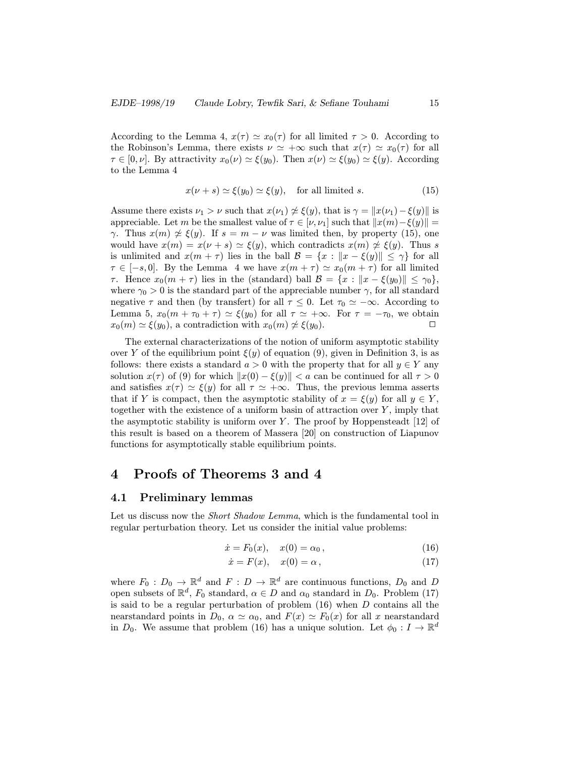According to the Lemma 4,  $x(\tau) \simeq x_0(\tau)$  for all limited  $\tau > 0$ . According to the Robinson's Lemma, there exists  $\nu \simeq +\infty$  such that  $x(\tau) \simeq x_0(\tau)$  for all  $\tau \in [0, \nu]$ . By attractivity  $x_0(\nu) \simeq \xi(y_0)$ . Then  $x(\nu) \simeq \xi(y_0) \simeq \xi(y)$ . According to the Lemma 4

$$
x(\nu + s) \simeq \xi(y_0) \simeq \xi(y), \quad \text{for all limited } s. \tag{15}
$$

Assume there exists  $\nu_1 > \nu$  such that  $x(\nu_1) \not\cong \xi(y)$ , that is  $\gamma = ||x(\nu_1) - \xi(y)||$  is appreciable. Let m be the smallest value of  $\tau \in [\nu, \nu_1]$  such that  $||x(m)-\xi(y)|| =$  $\gamma$ . Thus  $x(m) \not\approx \xi(y)$ . If  $s = m - \nu$  was limited then, by property (15), one would have  $x(m) = x(\nu + s) \simeq \xi(y)$ , which contradicts  $x(m) \not\approx \xi(y)$ . Thus s is unlimited and  $x(m + \tau)$  lies in the ball  $\mathcal{B} = \{x : ||x - \xi(y)|| \leq \gamma\}$  for all  $\tau \in [-s, 0]$ . By the Lemma 4 we have  $x(m + \tau) \simeq x_0(m + \tau)$  for all limited  $\tau$ . Hence  $x_0(m + \tau)$  lies in the (standard) ball  $\mathcal{B} = \{x : ||x - \xi(y_0)|| \leq \gamma_0\},\$ where  $\gamma_0 > 0$  is the standard part of the appreciable number  $\gamma$ , for all standard negative  $\tau$  and then (by transfert) for all  $\tau \leq 0$ . Let  $\tau_0 \simeq -\infty$ . According to Lemma 5,  $x_0(m + \tau_0 + \tau) \simeq \xi(y_0)$  for all  $\tau \simeq +\infty$ . For  $\tau = -\tau_0$ , we obtain  $x_0(m) \simeq \xi(y_0)$ , a contradiction with  $x_0(m) \not\simeq \xi(y_0)$ .

The external characterizations of the notion of uniform asymptotic stability over Y of the equilibrium point  $\xi(y)$  of equation (9), given in Definition 3, is as follows: there exists a standard  $a > 0$  with the property that for all  $y \in Y$  any solution  $x(\tau)$  of (9) for which  $||x(0) - \xi(y)|| < a$  can be continued for all  $\tau > 0$ and satisfies  $x(\tau) \simeq \xi(y)$  for all  $\tau \simeq +\infty$ . Thus, the previous lemma asserts that if Y is compact, then the asymptotic stability of  $x = \xi(y)$  for all  $y \in Y$ , together with the existence of a uniform basin of attraction over  $Y$ , imply that the asymptotic stability is uniform over  $Y$ . The proof by Hoppensteadt [12] of this result is based on a theorem of Massera [20] on construction of Liapunov functions for asymptotically stable equilibrium points.

# 4 Proofs of Theorems 3 and 4

## 4.1 Preliminary lemmas

Let us discuss now the *Short Shadow Lemma*, which is the fundamental tool in regular perturbation theory. Let us consider the initial value problems:

$$
\dot{x} = F_0(x), \quad x(0) = \alpha_0, \tag{16}
$$

$$
\dot{x} = F(x), \quad x(0) = \alpha \,, \tag{17}
$$

where  $F_0: D_0 \to \mathbb{R}^d$  and  $F: D \to \mathbb{R}^d$  are continuous functions,  $D_0$  and D open subsets of  $\mathbb{R}^d$ ,  $F_0$  standard,  $\alpha \in D$  and  $\alpha_0$  standard in  $D_0$ . Problem (17) is said to be a regular perturbation of problem  $(16)$  when D contains all the nearstandard points in  $D_0$ ,  $\alpha \simeq \alpha_0$ , and  $F(x) \simeq F_0(x)$  for all x nearstandard in  $D_0$ . We assume that problem (16) has a unique solution. Let  $\phi_0: I \to \mathbb{R}^d$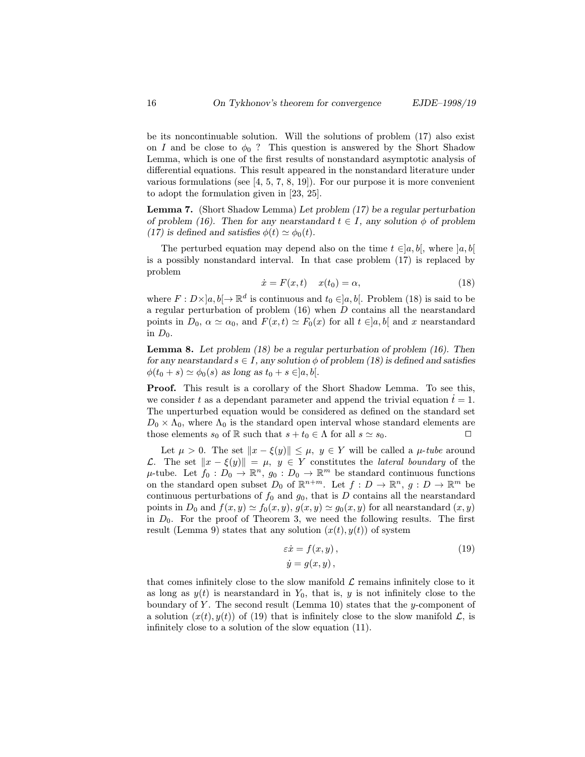be its noncontinuable solution. Will the solutions of problem (17) also exist on I and be close to  $\phi_0$  ? This question is answered by the Short Shadow Lemma, which is one of the first results of nonstandard asymptotic analysis of differential equations. This result appeared in the nonstandard literature under various formulations (see  $[4, 5, 7, 8, 19]$ ). For our purpose it is more convenient to adopt the formulation given in [23, 25].

Lemma 7. (Short Shadow Lemma) Let problem (17) be a regular perturbation of problem (16). Then for any nearstandard  $t \in I$ , any solution  $\phi$  of problem (17) is defined and satisfies  $\phi(t) \simeq \phi_0(t)$ .

The perturbed equation may depend also on the time  $t \in ]a, b[$ , where  $]a, b[$ is a possibly nonstandard interval. In that case problem (17) is replaced by problem

$$
\dot{x} = F(x, t) \quad x(t_0) = \alpha,\tag{18}
$$

where  $F: D\times ]a, b] \to \mathbb{R}^d$  is continuous and  $t_0 \in ]a, b[$ . Problem (18) is said to be a regular perturbation of problem  $(16)$  when D contains all the nearstandard points in  $D_0$ ,  $\alpha \simeq \alpha_0$ , and  $F(x, t) \simeq F_0(x)$  for all  $t \in ]a, b[$  and x nearstandard in  $D_0$ .

**Lemma 8.** Let problem  $(18)$  be a regular perturbation of problem  $(16)$ . Then for any nearstandard  $s \in I$ , any solution  $\phi$  of problem (18) is defined and satisfies  $\phi(t_0 + s) \simeq \phi_0(s)$  as long as  $t_0 + s \in ]a, b[$ .

Proof. This result is a corollary of the Short Shadow Lemma. To see this, we consider t as a dependant parameter and append the trivial equation  $\dot{t} = 1$ . The unperturbed equation would be considered as defined on the standard set  $D_0 \times \Lambda_0$ , where  $\Lambda_0$  is the standard open interval whose standard elements are those elements  $s_0$  of R such that  $s + t_0 \in \Lambda$  for all  $s \simeq s_0$ .

Let  $\mu > 0$ . The set  $||x - \xi(y)|| \leq \mu$ ,  $y \in Y$  will be called a  $\mu$ -tube around L. The set  $||x - ξ(y)|| = μ$ ,  $y ∈ Y$  constitutes the *lateral boundary* of the  $\mu$ -tube. Let  $f_0 : D_0 \to \mathbb{R}^n$ ,  $g_0 : D_0 \to \mathbb{R}^m$  be standard continuous functions on the standard open subset  $D_0$  of  $\mathbb{R}^{n+m}$ . Let  $f: D \to \mathbb{R}^n$ ,  $g: D \to \mathbb{R}^m$  be continuous perturbations of  $f_0$  and  $g_0$ , that is D contains all the nearstandard points in  $D_0$  and  $f(x, y) \simeq f_0(x, y), g(x, y) \simeq g_0(x, y)$  for all nearstandard  $(x, y)$ in  $D_0$ . For the proof of Theorem 3, we need the following results. The first result (Lemma 9) states that any solution  $(x(t), y(t))$  of system

$$
\begin{aligned}\n\varepsilon \dot{x} &= f(x, y), \\
\dot{y} &= g(x, y),\n\end{aligned} \tag{19}
$$

that comes infinitely close to the slow manifold  $\mathcal L$  remains infinitely close to it as long as  $y(t)$  is nearstandard in  $Y_0$ , that is, y is not infinitely close to the boundary of Y. The second result (Lemma 10) states that the y-component of a solution  $(x(t), y(t))$  of (19) that is infinitely close to the slow manifold  $\mathcal{L}$ , is infinitely close to a solution of the slow equation (11).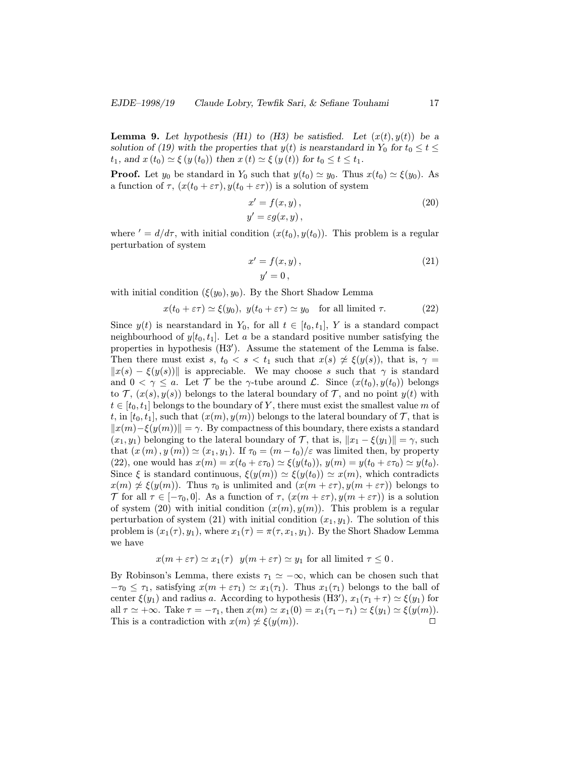**Lemma 9.** Let hypothesis (H1) to (H3) be satisfied. Let  $(x(t), y(t))$  be a solution of (19) with the properties that  $y(t)$  is nearstandard in  $Y_0$  for  $t_0 \le t \le$  $t_1$ , and  $x(t_0) \simeq \xi(y(t_0))$  then  $x(t) \simeq \xi(y(t))$  for  $t_0 \leq t \leq t_1$ .

**Proof.** Let  $y_0$  be standard in  $Y_0$  such that  $y(t_0) \simeq y_0$ . Thus  $x(t_0) \simeq \xi(y_0)$ . As a function of  $\tau$ ,  $(x(t_0 + \varepsilon \tau), y(t_0 + \varepsilon \tau))$  is a solution of system

$$
x' = f(x, y),
$$
  
\n
$$
y' = \varepsilon g(x, y),
$$
\n(20)

where  $d' = d/d\tau$ , with initial condition  $(x(t_0), y(t_0))$ . This problem is a regular perturbation of system

$$
x' = f(x, y),
$$
  
\n
$$
y' = 0,
$$
\n(21)

with initial condition  $(\xi(y_0), y_0)$ . By the Short Shadow Lemma

$$
x(t_0 + \varepsilon \tau) \simeq \xi(y_0), \ y(t_0 + \varepsilon \tau) \simeq y_0 \quad \text{for all limited } \tau. \tag{22}
$$

Since  $y(t)$  is nearstandard in  $Y_0$ , for all  $t \in [t_0, t_1]$ , Y is a standard compact neighbourhood of  $y[t_0, t_1]$ . Let a be a standard positive number satisfying the properties in hypothesis  $(H3')$ . Assume the statement of the Lemma is false. Then there must exist s,  $t_0 < s < t_1$  such that  $x(s) \not\approx \xi(y(s))$ , that is,  $\gamma =$  $||x(s) - \xi(y(s))||$  is appreciable. We may choose s such that  $\gamma$  is standard and  $0 < \gamma \leq a$ . Let T be the  $\gamma$ -tube around L. Since  $(x(t_0), y(t_0))$  belongs to  $\mathcal{T}, (x(s), y(s))$  belongs to the lateral boundary of  $\mathcal{T}$ , and no point  $y(t)$  with  $t \in [t_0, t_1]$  belongs to the boundary of Y, there must exist the smallest value m of t, in  $[t_0, t_1]$ , such that  $(x(m), y(m))$  belongs to the lateral boundary of T, that is  $||x(m)-\xi(y(m))|| = \gamma$ . By compactness of this boundary, there exists a standard  $(x_1, y_1)$  belonging to the lateral boundary of T, that is,  $||x_1 - \xi(y_1)|| = \gamma$ , such that  $(x (m), y (m)) \simeq (x_1, y_1)$ . If  $\tau_0 = (m - t_0)/\varepsilon$  was limited then, by property (22), one would has  $x(m) = x(t_0 + \varepsilon \tau_0) \approx \xi(y(t_0))$ ,  $y(m) = y(t_0 + \varepsilon \tau_0) \approx y(t_0)$ . Since  $\xi$  is standard continuous,  $\xi(y(m)) \simeq \xi(y(t_0)) \simeq x(m)$ , which contradicts  $x(m) \not\approx \xi(y(m))$ . Thus  $\tau_0$  is unlimited and  $(x(m + \varepsilon \tau), y(m + \varepsilon \tau))$  belongs to T for all  $\tau \in [-\tau_0, 0]$ . As a function of  $\tau$ ,  $(x(m + \varepsilon \tau), y(m + \varepsilon \tau))$  is a solution of system (20) with initial condition  $(x(m), y(m))$ . This problem is a regular perturbation of system (21) with initial condition  $(x_1, y_1)$ . The solution of this problem is  $(x_1(\tau), y_1)$ , where  $x_1(\tau) = \pi(\tau, x_1, y_1)$ . By the Short Shadow Lemma we have

$$
x(m + \varepsilon \tau) \simeq x_1(\tau)
$$
  $y(m + \varepsilon \tau) \simeq y_1$  for all limited  $\tau \leq 0$ .

By Robinson's Lemma, there exists  $\tau_1 \simeq -\infty$ , which can be chosen such that  $-\tau_0 \leq \tau_1$ , satisfying  $x(m + \varepsilon \tau_1) \simeq x_1(\tau_1)$ . Thus  $x_1(\tau_1)$  belongs to the ball of center  $\xi(y_1)$  and radius a. According to hypothesis (H3'),  $x_1(\tau_1 + \tau) \simeq \xi(y_1)$  for all  $\tau \simeq +\infty$ . Take  $\tau = -\tau_1$ , then  $x(m) \simeq x_1(0) = x_1(\tau_1-\tau_1) \simeq \xi(y_1) \simeq \xi(y(m))$ . This is a contradiction with  $x(m) \not\approx \xi(y(m))$ .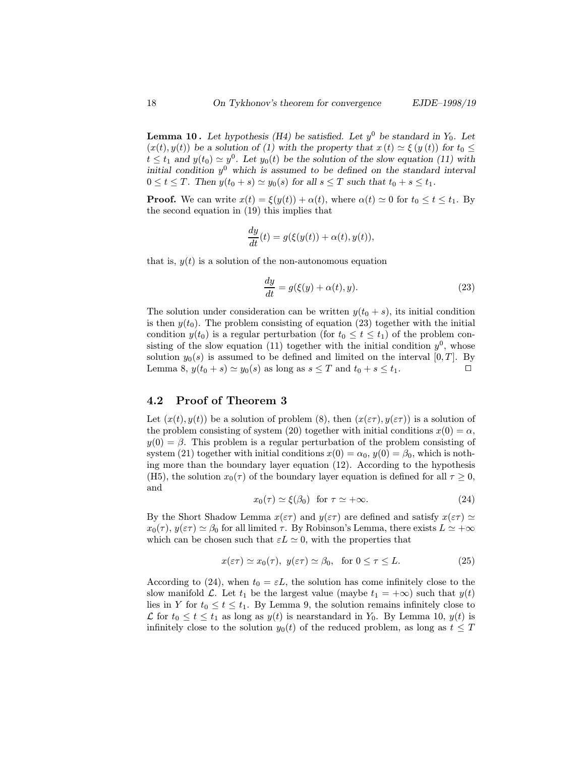**Lemma 10.** Let hypothesis (H4) be satisfied. Let  $y^0$  be standard in  $Y_0$ . Let  $(x(t), y(t))$  be a solution of (1) with the property that  $x(t) \simeq \xi(y(t))$  for  $t_0 \leq$  $t \le t_1$  and  $y(t_0) \simeq y^0$ . Let  $y_0(t)$  be the solution of the slow equation (11) with initial condition  $y^0$  which is assumed to be defined on the standard interval  $0 \leq t \leq T$ . Then  $y(t_0 + s) \simeq y_0(s)$  for all  $s \leq T$  such that  $t_0 + s \leq t_1$ .

**Proof.** We can write  $x(t) = \xi(y(t)) + \alpha(t)$ , where  $\alpha(t) \simeq 0$  for  $t_0 \leq t \leq t_1$ . By the second equation in (19) this implies that

$$
\frac{dy}{dt}(t) = g(\xi(y(t)) + \alpha(t), y(t)),
$$

that is,  $y(t)$  is a solution of the non-autonomous equation

$$
\frac{dy}{dt} = g(\xi(y) + \alpha(t), y). \tag{23}
$$

The solution under consideration can be written  $y(t_0 + s)$ , its initial condition is then  $y(t_0)$ . The problem consisting of equation (23) together with the initial condition  $y(t_0)$  is a regular perturbation (for  $t_0 \leq t \leq t_1$ ) of the problem consisting of the slow equation (11) together with the initial condition  $y^0$ , whose solution  $y_0(s)$  is assumed to be defined and limited on the interval  $[0, T]$ . By Lemma 8,  $y(t_0 + s) \simeq y_0(s)$  as long as  $s \leq T$  and  $t_0 + s \leq t_1$ .

## 4.2 Proof of Theorem 3

Let  $(x(t), y(t))$  be a solution of problem (8), then  $(x(\varepsilon\tau), y(\varepsilon\tau))$  is a solution of the problem consisting of system (20) together with initial conditions  $x(0) = \alpha$ ,  $y(0) = \beta$ . This problem is a regular perturbation of the problem consisting of system (21) together with initial conditions  $x(0) = \alpha_0, y(0) = \beta_0$ , which is nothing more than the boundary layer equation (12). According to the hypothesis (H5), the solution  $x_0(\tau)$  of the boundary layer equation is defined for all  $\tau \geq 0$ , and

$$
x_0(\tau) \simeq \xi(\beta_0) \quad \text{for } \tau \simeq +\infty. \tag{24}
$$

By the Short Shadow Lemma  $x(\varepsilon\tau)$  and  $y(\varepsilon\tau)$  are defined and satisfy  $x(\varepsilon\tau) \simeq$  $x_0(\tau)$ ,  $y(\varepsilon \tau) \simeq \beta_0$  for all limited  $\tau$ . By Robinson's Lemma, there exists  $L \simeq +\infty$ which can be chosen such that  $\varepsilon L \simeq 0$ , with the properties that

$$
x(\varepsilon\tau) \simeq x_0(\tau), \ y(\varepsilon\tau) \simeq \beta_0, \text{ for } 0 \le \tau \le L. \tag{25}
$$

According to (24), when  $t_0 = \varepsilon L$ , the solution has come infinitely close to the slow manifold  $\mathcal{L}$ . Let  $t_1$  be the largest value (maybe  $t_1 = +\infty$ ) such that  $y(t)$ lies in Y for  $t_0 \le t \le t_1$ . By Lemma 9, the solution remains infinitely close to L for  $t_0 \le t \le t_1$  as long as  $y(t)$  is nearstandard in  $Y_0$ . By Lemma 10,  $y(t)$  is infinitely close to the solution  $y_0(t)$  of the reduced problem, as long as  $t \leq T$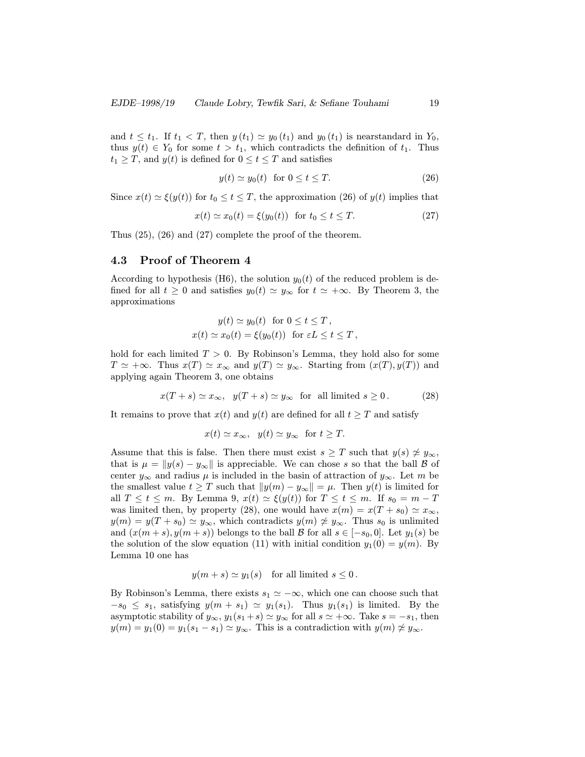and  $t \leq t_1$ . If  $t_1 < T$ , then  $y(t_1) \simeq y_0(t_1)$  and  $y_0(t_1)$  is nearstandard in  $Y_0$ , thus  $y(t) \in Y_0$  for some  $t>t_1$ , which contradicts the definition of  $t_1$ . Thus  $t_1 \geq T$ , and  $y(t)$  is defined for  $0 \leq t \leq T$  and satisfies

$$
y(t) \simeq y_0(t) \quad \text{for } 0 \le t \le T. \tag{26}
$$

Since  $x(t) \simeq \xi(y(t))$  for  $t_0 \le t \le T$ , the approximation (26) of  $y(t)$  implies that

$$
x(t) \simeq x_0(t) = \xi(y_0(t)) \quad \text{for } t_0 \le t \le T. \tag{27}
$$

Thus (25), (26) and (27) complete the proof of the theorem.

## 4.3 Proof of Theorem 4

According to hypothesis (H6), the solution  $y_0(t)$  of the reduced problem is defined for all  $t \geq 0$  and satisfies  $y_0(t) \simeq y_\infty$  for  $t \simeq +\infty$ . By Theorem 3, the approximations

$$
y(t) \simeq y_0(t) \text{ for } 0 \le t \le T,
$$
  
 
$$
x(t) \simeq x_0(t) = \xi(y_0(t)) \text{ for } \varepsilon L \le t \le T,
$$

hold for each limited  $T > 0$ . By Robinson's Lemma, they hold also for some  $T \simeq +\infty$ . Thus  $x(T) \simeq x_{\infty}$  and  $y(T) \simeq y_{\infty}$ . Starting from  $(x(T), y(T))$  and applying again Theorem 3, one obtains

$$
x(T+s) \simeq x_{\infty}, \ \ y(T+s) \simeq y_{\infty} \ \text{ for all limited } s \ge 0. \tag{28}
$$

It remains to prove that  $x(t)$  and  $y(t)$  are defined for all  $t \geq T$  and satisfy

$$
x(t) \simeq x_{\infty}, \ \ y(t) \simeq y_{\infty} \ \text{ for } t \geq T.
$$

Assume that this is false. Then there must exist  $s \geq T$  such that  $y(s) \not\approx y_{\infty}$ , that is  $\mu = ||y(s) - y_{\infty}||$  is appreciable. We can chose s so that the ball B of center  $y_{\infty}$  and radius  $\mu$  is included in the basin of attraction of  $y_{\infty}$ . Let m be the smallest value  $t \geq T$  such that  $||y(m) - y_{\infty}|| = \mu$ . Then  $y(t)$  is limited for all  $T \le t \le m$ . By Lemma 9,  $x(t) \simeq \xi(y(t))$  for  $T \le t \le m$ . If  $s_0 = m - T$ was limited then, by property (28), one would have  $x(m) = x(T + s_0) \simeq x_{\infty}$ ,  $y(m) = y(T + s_0) \simeq y_{\infty}$ , which contradicts  $y(m) \not\approx y_{\infty}$ . Thus  $s_0$  is unlimited and  $(x(m + s), y(m + s))$  belongs to the ball B for all  $s \in [-s_0, 0]$ . Let  $y_1(s)$  be the solution of the slow equation (11) with initial condition  $y_1(0) = y(m)$ . By Lemma 10 one has

$$
y(m+s) \simeq y_1(s)
$$
 for all limited  $s \leq 0$ .

By Robinson's Lemma, there exists  $s_1 \approx -\infty$ , which one can choose such that  $-s_0 \leq s_1$ , satisfying  $y(m + s_1) \simeq y_1(s_1)$ . Thus  $y_1(s_1)$  is limited. By the asymptotic stability of  $y_{\infty}$ ,  $y_1(s_1 + s) \simeq y_{\infty}$  for all  $s \simeq +\infty$ . Take  $s = -s_1$ , then  $y(m) = y_1(0) = y_1(s_1 - s_1) \simeq y_{\infty}$ . This is a contradiction with  $y(m) \not\approx y_{\infty}$ .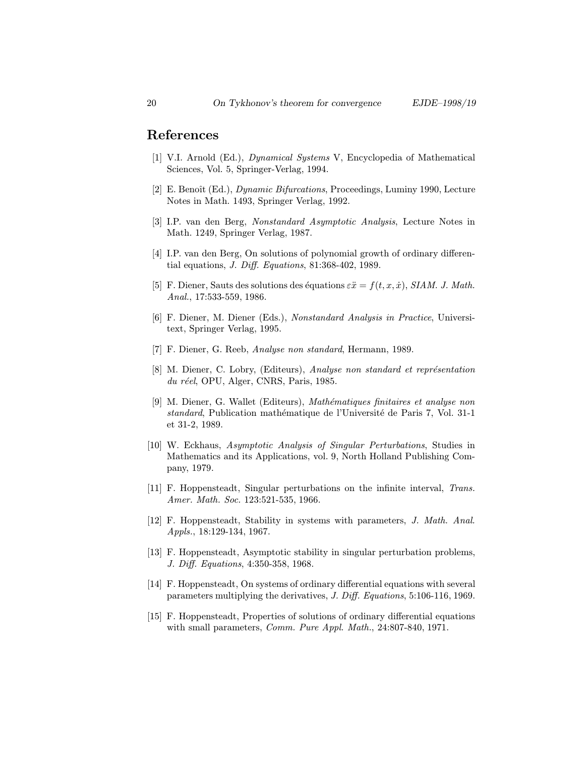## References

- [1] V.I. Arnold (Ed.), Dynamical Systems V, Encyclopedia of Mathematical Sciences, Vol. 5, Springer-Verlag, 1994.
- [2] E. Benoît (Ed.), *Dynamic Bifurcations*, Proceedings, Luminy 1990, Lecture Notes in Math. 1493, Springer Verlag, 1992.
- [3] I.P. van den Berg, Nonstandard Asymptotic Analysis, Lecture Notes in Math. 1249, Springer Verlag, 1987.
- [4] I.P. van den Berg, On solutions of polynomial growth of ordinary differential equations, J. Diff. Equations, 81:368-402, 1989.
- [5] F. Diener, Sauts des solutions des équations  $\varepsilon\ddot{x} = f(t, x, \dot{x})$ , SIAM. J. Math. Anal., 17:533-559, 1986.
- [6] F. Diener, M. Diener (Eds.), Nonstandard Analysis in Practice, Universitext, Springer Verlag, 1995.
- [7] F. Diener, G. Reeb, Analyse non standard, Hermann, 1989.
- [8] M. Diener, C. Lobry, (Editeurs), Analyse non standard et représentation  $du$  réel, OPU, Alger, CNRS, Paris, 1985.
- [9] M. Diener, G. Wallet (Editeurs), Mathématiques finitaires et analyse non standard, Publication mathématique de l'Université de Paris 7, Vol. 31-1 et 31-2, 1989.
- [10] W. Eckhaus, Asymptotic Analysis of Singular Perturbations, Studies in Mathematics and its Applications, vol. 9, North Holland Publishing Company, 1979.
- [11] F. Hoppensteadt, Singular perturbations on the infinite interval, Trans. Amer. Math. Soc. 123:521-535, 1966.
- [12] F. Hoppensteadt, Stability in systems with parameters, J. Math. Anal. Appls., 18:129-134, 1967.
- [13] F. Hoppensteadt, Asymptotic stability in singular perturbation problems, J. Diff. Equations, 4:350-358, 1968.
- [14] F. Hoppensteadt, On systems of ordinary differential equations with several parameters multiplying the derivatives, J. Diff. Equations, 5:106-116, 1969.
- [15] F. Hoppensteadt, Properties of solutions of ordinary differential equations with small parameters, *Comm. Pure Appl. Math.*, 24:807-840, 1971.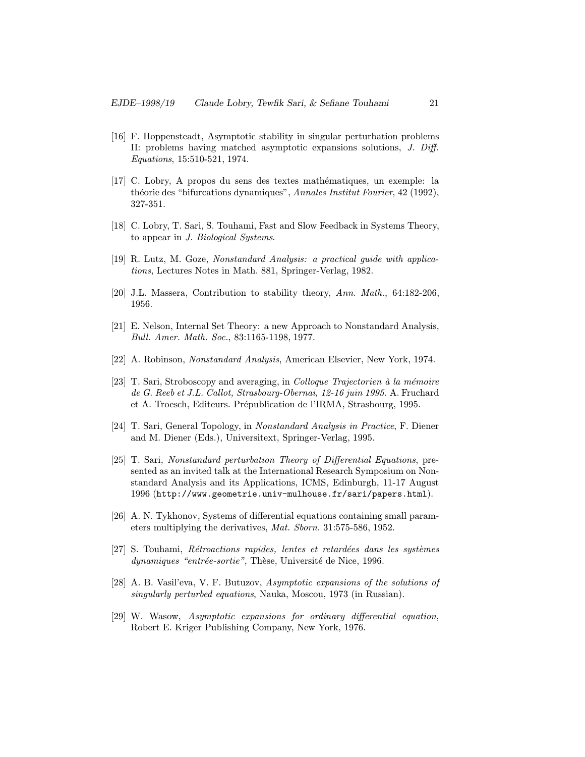- [16] F. Hoppensteadt, Asymptotic stability in singular perturbation problems II: problems having matched asymptotic expansions solutions, J. Diff. Equations, 15:510-521, 1974.
- [17] C. Lobry, A propos du sens des textes math´ematiques, un exemple: la théorie des "bifurcations dynamiques", Annales Institut Fourier, 42 (1992), 327-351.
- [18] C. Lobry, T. Sari, S. Touhami, Fast and Slow Feedback in Systems Theory, to appear in J. Biological Systems.
- [19] R. Lutz, M. Goze, Nonstandard Analysis: a practical guide with applications, Lectures Notes in Math. 881, Springer-Verlag, 1982.
- [20] J.L. Massera, Contribution to stability theory, Ann. Math., 64:182-206, 1956.
- [21] E. Nelson, Internal Set Theory: a new Approach to Nonstandard Analysis, Bull. Amer. Math. Soc., 83:1165-1198, 1977.
- [22] A. Robinson, Nonstandard Analysis, American Elsevier, New York, 1974.
- [23] T. Sari, Stroboscopy and averaging, in *Colloque Trajectorien*  $\dot{a}$  la mémoire de G. Reeb et J.L. Callot, Strasbourg-Obernai, 12-16 juin 1995. A. Fruchard et A. Troesch, Editeurs. Prépublication de l'IRMA, Strasbourg, 1995.
- [24] T. Sari, General Topology, in Nonstandard Analysis in Practice, F. Diener and M. Diener (Eds.), Universitext, Springer-Verlag, 1995.
- [25] T. Sari, Nonstandard perturbation Theory of Differential Equations, presented as an invited talk at the International Research Symposium on Nonstandard Analysis and its Applications, ICMS, Edinburgh, 11-17 August 1996 (http://www.geometrie.univ-mulhouse.fr/sari/papers.html).
- [26] A. N. Tykhonov, Systems of differential equations containing small parameters multiplying the derivatives, Mat. Sborn. 31:575-586, 1952.
- $[27]$  S. Touhami, *Rétroactions rapides, lentes et retardées dans les systèmes* dynamiques "entrée-sortie", Thèse, Université de Nice, 1996.
- [28] A. B. Vasil'eva, V. F. Butuzov, Asymptotic expansions of the solutions of singularly perturbed equations, Nauka, Moscou, 1973 (in Russian).
- [29] W. Wasow, Asymptotic expansions for ordinary differential equation, Robert E. Kriger Publishing Company, New York, 1976.